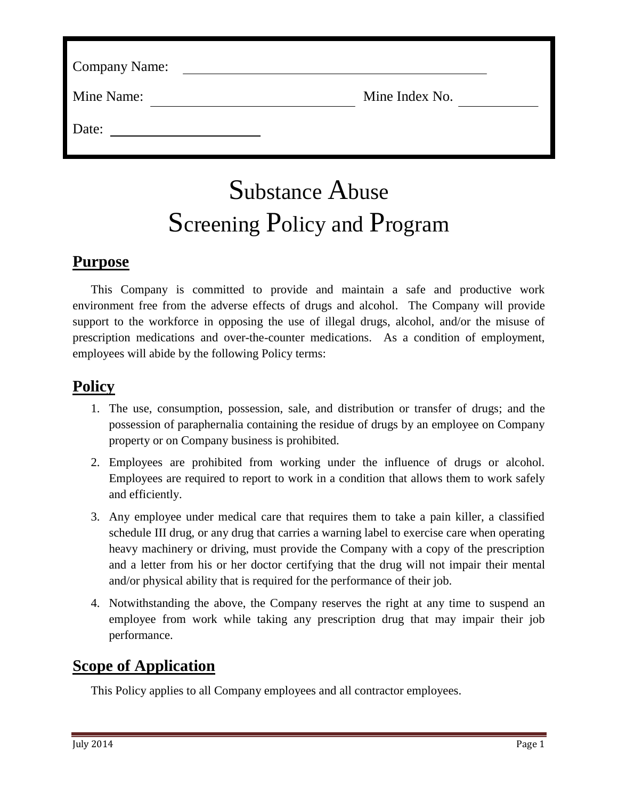| Mine Index No. |
|----------------|
|                |
|                |

# Substance Abuse Screening Policy and Program

## **Purpose**

This Company is committed to provide and maintain a safe and productive work environment free from the adverse effects of drugs and alcohol. The Company will provide support to the workforce in opposing the use of illegal drugs, alcohol, and/or the misuse of prescription medications and over-the-counter medications. As a condition of employment, employees will abide by the following Policy terms:

# **Policy**

- 1. The use, consumption, possession, sale, and distribution or transfer of drugs; and the possession of paraphernalia containing the residue of drugs by an employee on Company property or on Company business is prohibited.
- 2. Employees are prohibited from working under the influence of drugs or alcohol. Employees are required to report to work in a condition that allows them to work safely and efficiently.
- 3. Any employee under medical care that requires them to take a pain killer, a classified schedule III drug, or any drug that carries a warning label to exercise care when operating heavy machinery or driving, must provide the Company with a copy of the prescription and a letter from his or her doctor certifying that the drug will not impair their mental and/or physical ability that is required for the performance of their job.
- 4. Notwithstanding the above, the Company reserves the right at any time to suspend an employee from work while taking any prescription drug that may impair their job performance.

## **Scope of Application**

This Policy applies to all Company employees and all contractor employees.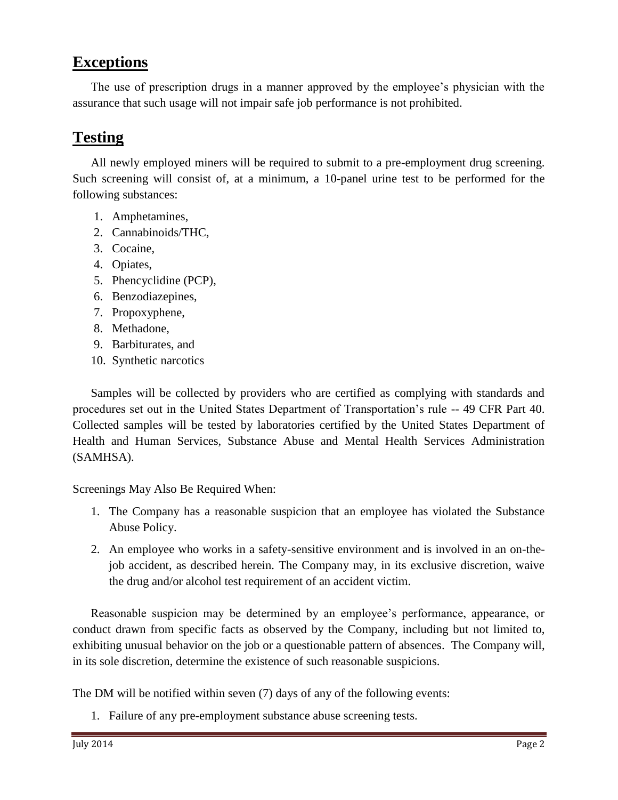## **Exceptions**

The use of prescription drugs in a manner approved by the employee's physician with the assurance that such usage will not impair safe job performance is not prohibited.

## **Testing**

All newly employed miners will be required to submit to a pre-employment drug screening. Such screening will consist of, at a minimum, a 10-panel urine test to be performed for the following substances:

- 1. Amphetamines,
- 2. Cannabinoids/THC,
- 3. Cocaine,
- 4. Opiates,
- 5. Phencyclidine (PCP),
- 6. Benzodiazepines,
- 7. Propoxyphene,
- 8. Methadone,
- 9. Barbiturates, and
- 10. Synthetic narcotics

Samples will be collected by providers who are certified as complying with standards and procedures set out in the United States Department of Transportation's rule -- 49 CFR Part 40. Collected samples will be tested by laboratories certified by the United States Department of Health and Human Services, Substance Abuse and Mental Health Services Administration (SAMHSA).

Screenings May Also Be Required When:

- 1. The Company has a reasonable suspicion that an employee has violated the Substance Abuse Policy.
- 2. An employee who works in a safety-sensitive environment and is involved in an on-thejob accident, as described herein. The Company may, in its exclusive discretion, waive the drug and/or alcohol test requirement of an accident victim.

Reasonable suspicion may be determined by an employee's performance, appearance, or conduct drawn from specific facts as observed by the Company, including but not limited to, exhibiting unusual behavior on the job or a questionable pattern of absences. The Company will, in its sole discretion, determine the existence of such reasonable suspicions.

The DM will be notified within seven (7) days of any of the following events:

1. Failure of any pre-employment substance abuse screening tests.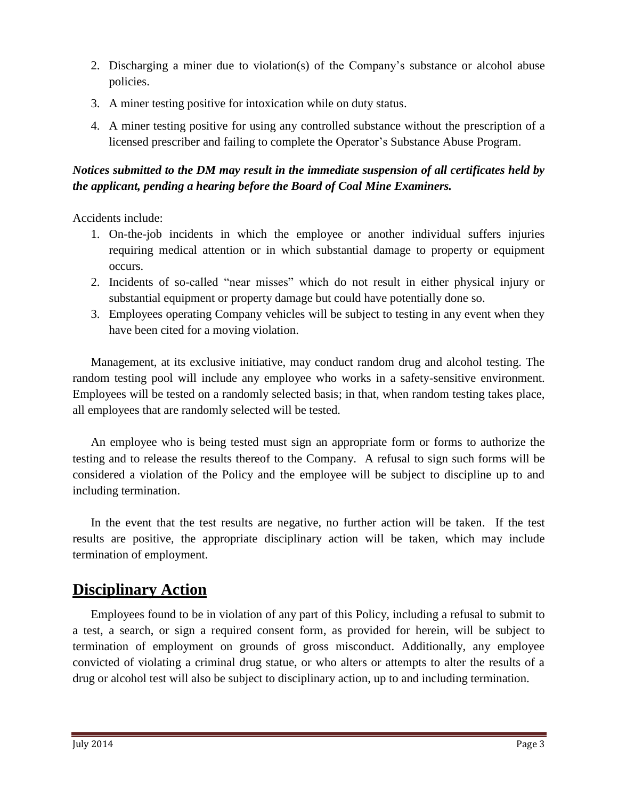- 2. Discharging a miner due to violation(s) of the Company's substance or alcohol abuse policies.
- 3. A miner testing positive for intoxication while on duty status.
- 4. A miner testing positive for using any controlled substance without the prescription of a licensed prescriber and failing to complete the Operator's Substance Abuse Program.

#### *Notices submitted to the DM may result in the immediate suspension of all certificates held by the applicant, pending a hearing before the Board of Coal Mine Examiners.*

Accidents include:

- 1. On-the-job incidents in which the employee or another individual suffers injuries requiring medical attention or in which substantial damage to property or equipment occurs.
- 2. Incidents of so-called "near misses" which do not result in either physical injury or substantial equipment or property damage but could have potentially done so.
- 3. Employees operating Company vehicles will be subject to testing in any event when they have been cited for a moving violation.

Management, at its exclusive initiative, may conduct random drug and alcohol testing. The random testing pool will include any employee who works in a safety-sensitive environment. Employees will be tested on a randomly selected basis; in that, when random testing takes place, all employees that are randomly selected will be tested.

An employee who is being tested must sign an appropriate form or forms to authorize the testing and to release the results thereof to the Company. A refusal to sign such forms will be considered a violation of the Policy and the employee will be subject to discipline up to and including termination.

In the event that the test results are negative, no further action will be taken. If the test results are positive, the appropriate disciplinary action will be taken, which may include termination of employment.

## **Disciplinary Action**

Employees found to be in violation of any part of this Policy, including a refusal to submit to a test, a search, or sign a required consent form, as provided for herein, will be subject to termination of employment on grounds of gross misconduct. Additionally, any employee convicted of violating a criminal drug statue, or who alters or attempts to alter the results of a drug or alcohol test will also be subject to disciplinary action, up to and including termination.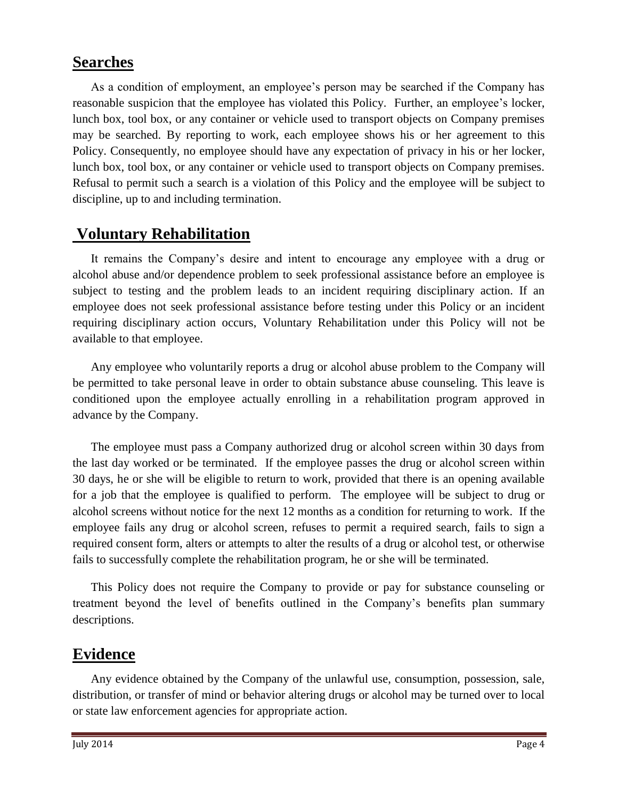### **Searches**

As a condition of employment, an employee's person may be searched if the Company has reasonable suspicion that the employee has violated this Policy. Further, an employee's locker, lunch box, tool box, or any container or vehicle used to transport objects on Company premises may be searched. By reporting to work, each employee shows his or her agreement to this Policy. Consequently, no employee should have any expectation of privacy in his or her locker, lunch box, tool box, or any container or vehicle used to transport objects on Company premises. Refusal to permit such a search is a violation of this Policy and the employee will be subject to discipline, up to and including termination.

# **Voluntary Rehabilitation**

It remains the Company's desire and intent to encourage any employee with a drug or alcohol abuse and/or dependence problem to seek professional assistance before an employee is subject to testing and the problem leads to an incident requiring disciplinary action. If an employee does not seek professional assistance before testing under this Policy or an incident requiring disciplinary action occurs, Voluntary Rehabilitation under this Policy will not be available to that employee.

Any employee who voluntarily reports a drug or alcohol abuse problem to the Company will be permitted to take personal leave in order to obtain substance abuse counseling. This leave is conditioned upon the employee actually enrolling in a rehabilitation program approved in advance by the Company.

The employee must pass a Company authorized drug or alcohol screen within 30 days from the last day worked or be terminated. If the employee passes the drug or alcohol screen within 30 days, he or she will be eligible to return to work, provided that there is an opening available for a job that the employee is qualified to perform. The employee will be subject to drug or alcohol screens without notice for the next 12 months as a condition for returning to work. If the employee fails any drug or alcohol screen, refuses to permit a required search, fails to sign a required consent form, alters or attempts to alter the results of a drug or alcohol test, or otherwise fails to successfully complete the rehabilitation program, he or she will be terminated.

This Policy does not require the Company to provide or pay for substance counseling or treatment beyond the level of benefits outlined in the Company's benefits plan summary descriptions.

## **Evidence**

Any evidence obtained by the Company of the unlawful use, consumption, possession, sale, distribution, or transfer of mind or behavior altering drugs or alcohol may be turned over to local or state law enforcement agencies for appropriate action.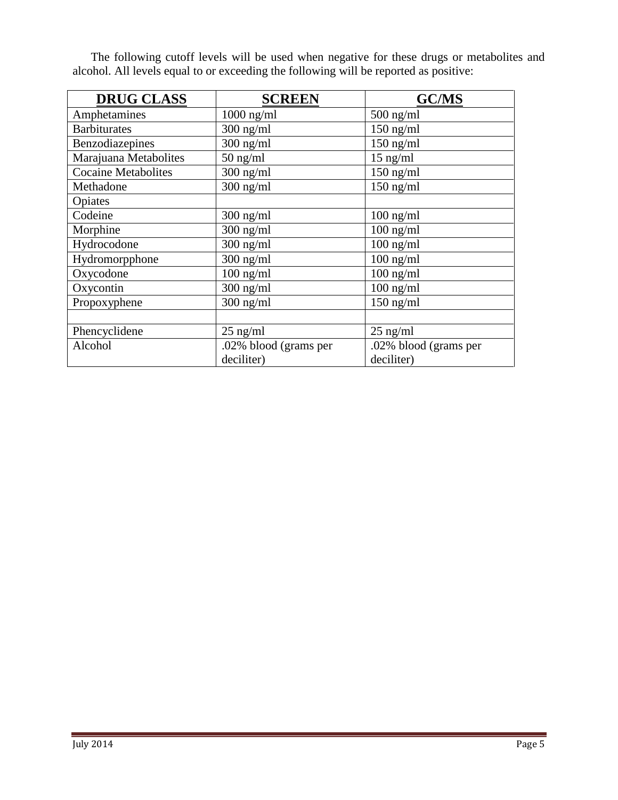The following cutoff levels will be used when negative for these drugs or metabolites and alcohol. All levels equal to or exceeding the following will be reported as positive:

| <b>DRUG CLASS</b>          | <b>SCREEN</b>         | <b>GC/MS</b>           |
|----------------------------|-----------------------|------------------------|
| Amphetamines               | $1000$ ng/ml          | $500$ ng/ml            |
| <b>Barbiturates</b>        | $300$ ng/ml           | $150$ ng/ml            |
| Benzodiazepines            | $300$ ng/ml           | $150$ ng/ml            |
| Marajuana Metabolites      | $50$ ng/ml            | $15$ ng/ml             |
| <b>Cocaine Metabolites</b> | $300$ ng/ml           | $150$ ng/ml            |
| Methadone                  | $300$ ng/ml           | $\overline{150}$ ng/ml |
| Opiates                    |                       |                        |
| Codeine                    | $300$ ng/ml           | $100$ ng/ml            |
| Morphine                   | $300$ ng/ml           | $100$ ng/ml            |
| Hydrocodone                | $300$ ng/ml           | $100$ ng/ml            |
| Hydromorpphone             | $300$ ng/ml           | $100$ ng/ml            |
| Oxycodone                  | $100$ ng/ml           | $100$ ng/ml            |
| Oxycontin                  | $300$ ng/ml           | $100$ ng/ml            |
| Propoxyphene               | $300$ ng/ml           | $150$ ng/ml            |
|                            |                       |                        |
| Phencyclidene              | $25$ ng/ml            | $25$ ng/ml             |
| Alcohol                    | .02% blood (grams per | .02% blood (grams per  |
|                            | deciliter)            | deciliter)             |